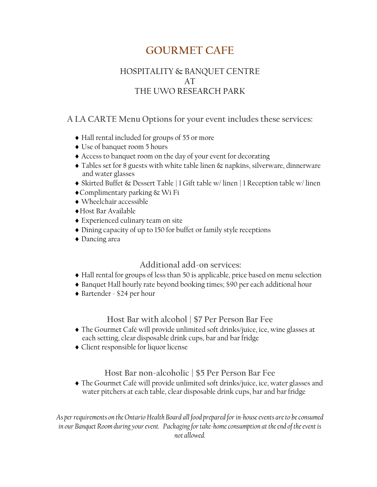# **GOURMET CAFE**

# HOSPITALITY & BANQUET CENTRE AT THE UWO RESEARCH PARK

# **A LA CARTE Menu Options for your event includes these services:**

- Hall rental included for groups of 55 or more
- Use of banquet room 5 hours
- Access to banquet room on the day of your event for decorating
- Tables set for 8 guests with white table linen & napkins, silverware, dinnerware and water glasses
- Skirted Buffet & Dessert Table | 1 Gift table w/ linen | 1 Reception table w/ linen
- Complimentary parking & Wi Fi
- Wheelchair accessible
- Host Bar Available
- Experienced culinary team on site
- Dining capacity of up to 150 for buffet or family style receptions
- ◆ Dancing area

## **Additional add-on services:**

- Hall rental for groups of less than 50 is applicable, price based on menu selection
- Banquet Hall hourly rate beyond booking times; \$90 per each additional hour
- ◆ Bartender \$24 per hour

### **Host Bar with alcohol | \$7 Per Person Bar Fee**

- The Gourmet Café will provide unlimited soft drinks/juice, ice, wine glasses at each setting, clear disposable drink cups, bar and bar fridge
- Client responsible for liquor license

### **Host Bar non-alcoholic | \$5 Per Person Bar Fee**

 The Gourmet Café will provide unlimited soft drinks/juice, ice, water glasses and water pitchers at each table, clear disposable drink cups, bar and bar fridge

As per requirements on the Ontario Health Board all food prepared for in-house events are to be consumed *in our Banquet Room during your event. Packaging for take-home consumption at the end of the event is not allowed.*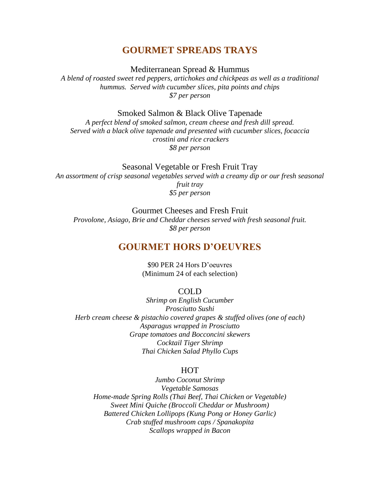## **GOURMET SPREADS TRAYS**

Mediterranean Spread & Hummus

*A blend of roasted sweet red peppers, artichokes and chickpeas as well as a traditional hummus. Served with cucumber slices, pita points and chips \$7 per person*

Smoked Salmon & Black Olive Tapenade

*A perfect blend of smoked salmon, cream cheese and fresh dill spread. Served with a black olive tapenade and presented with cucumber slices, focaccia crostini and rice crackers \$8 per person*

Seasonal Vegetable or Fresh Fruit Tray *An assortment of crisp seasonal vegetables served with a creamy dip or our fresh seasonal fruit tray \$5 per person*

Gourmet Cheeses and Fresh Fruit

*Provolone, Asiago, Brie and Cheddar cheeses served with fresh seasonal fruit. \$8 per person*

## **GOURMET HORS D'OEUVRES**

\$90 PER 24 Hors D'oeuvres (Minimum 24 of each selection)

### COLD

*Shrimp on English Cucumber Prosciutto Sushi Herb cream cheese & pistachio covered grapes & stuffed olives (one of each) Asparagus wrapped in Prosciutto Grape tomatoes and Bocconcini skewers Cocktail Tiger Shrimp Thai Chicken Salad Phyllo Cups*

### HOT

*Jumbo Coconut Shrimp Vegetable Samosas Home-made Spring Rolls (Thai Beef, Thai Chicken or Vegetable) Sweet Mini Quiche (Broccoli Cheddar or Mushroom) Battered Chicken Lollipops (Kung Pong or Honey Garlic) Crab stuffed mushroom caps / Spanakopita Scallops wrapped in Bacon*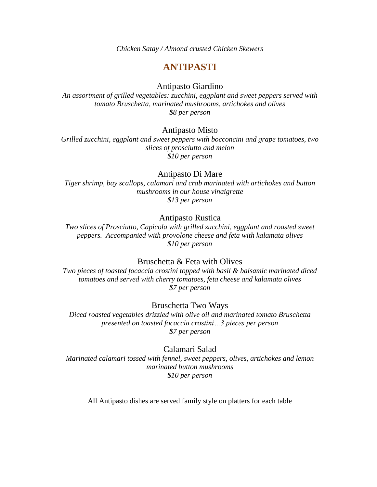*Chicken Satay / Almond crusted Chicken Skewers*

## **ANTIPASTI**

### Antipasto Giardino

*An assortment of grilled vegetables: zucchini, eggplant and sweet peppers served with tomato Bruschetta, marinated mushrooms, artichokes and olives \$8 per person*

#### Antipasto Misto

*Grilled zucchini, eggplant and sweet peppers with bocconcini and grape tomatoes, two slices of prosciutto and melon \$10 per person*

#### Antipasto Di Mare

*Tiger shrimp, bay scallops, calamari and crab marinated with artichokes and button mushrooms in our house vinaigrette \$13 per person*

#### Antipasto Rustica

*Two slices of Prosciutto, Capicola with grilled zucchini, eggplant and roasted sweet peppers. Accompanied with provolone cheese and feta with kalamata olives \$10 per person*

### Bruschetta & Feta with Olives

*Two pieces of toasted focaccia crostini topped with basil & balsamic marinated diced tomatoes and served with cherry tomatoes, feta cheese and kalamata olives \$7 per person*

#### Bruschetta Two Ways

*Diced roasted vegetables drizzled with olive oil and marinated tomato Bruschetta presented on toasted focaccia crostini…3 pieces per person \$7 per person*

### Calamari Salad

*Marinated calamari tossed with fennel, sweet peppers, olives, artichokes and lemon marinated button mushrooms \$10 per person*

All Antipasto dishes are served family style on platters for each table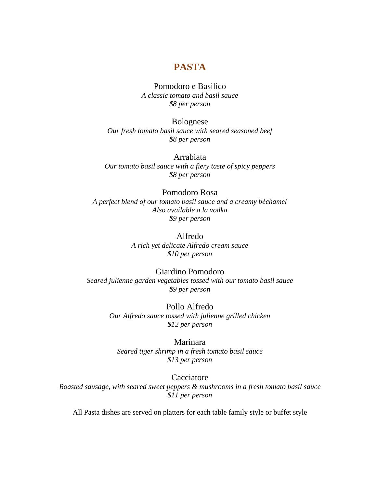# **PASTA**

### Pomodoro e Basilico *A classic tomato and basil sauce \$8 per person*

Bolognese *Our fresh tomato basil sauce with seared seasoned beef \$8 per person*

Arrabiata *Our tomato basil sauce with a fiery taste of spicy peppers \$8 per person*

### Pomodoro Rosa

*A perfect blend of our tomato basil sauce and a creamy béchamel Also available a la vodka \$9 per person*

> Alfredo *A rich yet delicate Alfredo cream sauce \$10 per person*

### Giardino Pomodoro

*Seared julienne garden vegetables tossed with our tomato basil sauce \$9 per person*

> Pollo Alfredo *Our Alfredo sauce tossed with julienne grilled chicken \$12 per person*

#### Marinara

*Seared tiger shrimp in a fresh tomato basil sauce \$13 per person*

#### Cacciatore

*Roasted sausage, with seared sweet peppers & mushrooms in a fresh tomato basil sauce \$11 per person*

All Pasta dishes are served on platters for each table family style or buffet style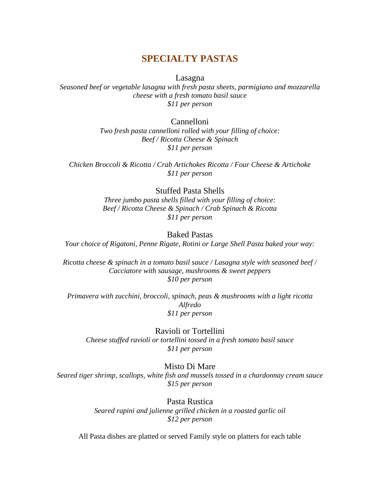# **SPECIALTY PASTAS**

Lasagna

*Seasoned beef or vegetable lasagna with fresh pasta sheets, parmigiano and mozzarella cheese with a fresh tomato basil sauce \$11 per person*

### Cannelloni

*Two fresh pasta cannelloni rolled with your filling of choice: Beef / Ricotta Cheese & Spinach \$11 per person*

*Chicken Broccoli & Ricotta / Crab Artichokes Ricotta / Four Cheese & Artichoke \$11 per person*

#### Stuffed Pasta Shells

*Three jumbo pasta shells filled with your filling of choice: Beef / Ricotta Cheese & Spinach / Crab Spinach & Ricotta \$11 per person*

### Baked Pastas

*Your choice of Rigatoni, Penne Rigate, Rotini or Large Shell Pasta baked your way:*

*Ricotta cheese & spinach in a tomato basil sauce / Lasagna style with seasoned beef / Cacciatore with sausage, mushrooms & sweet peppers \$10 per person*

*Primavera with zucchini, broccoli, spinach, peas & mushrooms with a light ricotta Alfredo \$11 per person*

### Ravioli or Tortellini

*Cheese stuffed ravioli or tortellini tossed in a fresh tomato basil sauce \$11 per person*

### Misto Di Mare

*Seared tiger shrimp, scallops, white fish and mussels tossed in a chardonnay cream sauce \$15 per person*

# Pasta Rustica

*Seared rapini and julienne grilled chicken in a roasted garlic oil \$12 per person*

All Pasta dishes are platted or served Family style on platters for each table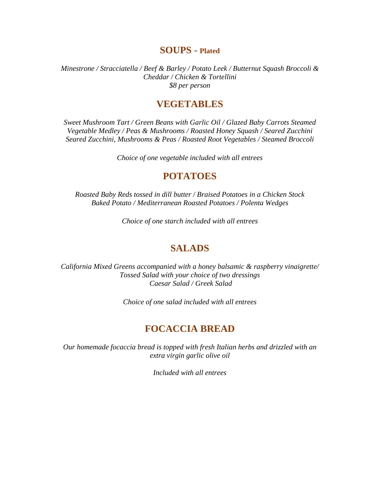### **SOUPS - Plated**

*Minestrone / Stracciatella / Beef & Barley / Potato Leek / Butternut Squash Broccoli & Cheddar / Chicken & Tortellini \$8 per person*

# **VEGETABLES**

*Sweet Mushroom Tart / Green Beans with Garlic Oil / Glazed Baby Carrots Steamed Vegetable Medley / Peas & Mushrooms / Roasted Honey Squash / Seared Zucchini Seared Zucchini, Mushrooms & Peas / Roasted Root Vegetables / Steamed Broccoli* 

*Choice of one vegetable included with all entrees*

## **POTATOES**

*Roasted Baby Reds tossed in dill butter / Braised Potatoes in a Chicken Stock Baked Potato / Mediterranean Roasted Potatoes / Polenta Wedges*

*Choice of one starch included with all entrees*

## **SALADS**

*California Mixed Greens accompanied with a honey balsamic & raspberry vinaigrette/ Tossed Salad with your choice of two dressings Caesar Salad / Greek Salad* 

*Choice of one salad included with all entrees*

## **FOCACCIA BREAD**

*Our homemade focaccia bread is topped with fresh Italian herbs and drizzled with an extra virgin garlic olive oil*

*Included with all entrees*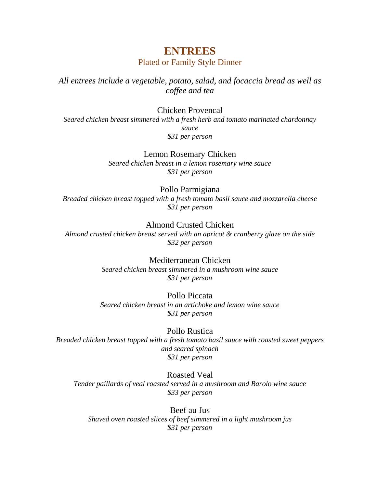# **ENTREES**

### Plated or Family Style Dinner

*All entrees include a vegetable, potato, salad, and focaccia bread as well as coffee and tea*

### Chicken Provencal

*Seared chicken breast simmered with a fresh herb and tomato marinated chardonnay sauce \$31 per person*

Lemon Rosemary Chicken

*Seared chicken breast in a lemon rosemary wine sauce \$31 per person*

### Pollo Parmigiana

*Breaded chicken breast topped with a fresh tomato basil sauce and mozzarella cheese \$31 per person*

### Almond Crusted Chicken

*Almond crusted chicken breast served with an apricot & cranberry glaze on the side \$32 per person*

#### Mediterranean Chicken

*Seared chicken breast simmered in a mushroom wine sauce \$31 per person*

### Pollo Piccata

*Seared chicken breast in an artichoke and lemon wine sauce \$31 per person*

### Pollo Rustica

*Breaded chicken breast topped with a fresh tomato basil sauce with roasted sweet peppers and seared spinach \$31 per person*

Roasted Veal *Tender paillards of veal roasted served in a mushroom and Barolo wine sauce \$33 per person*

Beef au Jus *Shaved oven roasted slices of beef simmered in a light mushroom jus \$31 per person*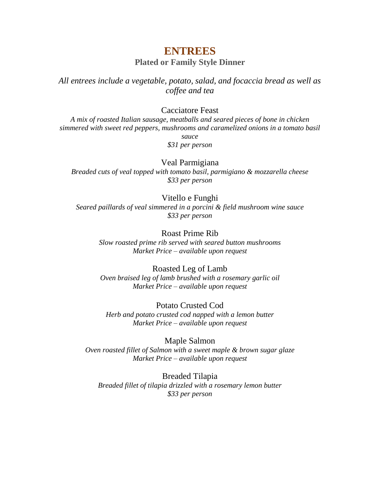# **ENTREES Plated or Family Style Dinner**

*All entrees include a vegetable, potato, salad, and focaccia bread as well as coffee and tea*

Cacciatore Feast

*A mix of roasted Italian sausage, meatballs and seared pieces of bone in chicken simmered with sweet red peppers, mushrooms and caramelized onions in a tomato basil sauce*

*\$31 per person*

Veal Parmigiana *Breaded cuts of veal topped with tomato basil, parmigiano & mozzarella cheese \$33 per person*

Vitello e Funghi *Seared paillards of veal simmered in a porcini & field mushroom wine sauce \$33 per person*

Roast Prime Rib

*Slow roasted prime rib served with seared button mushrooms Market Price – available upon request*

### Roasted Leg of Lamb

*Oven braised leg of lamb brushed with a rosemary garlic oil Market Price – available upon request*

### Potato Crusted Cod

*Herb and potato crusted cod napped with a lemon butter Market Price – available upon request*

### Maple Salmon

*Oven roasted fillet of Salmon with a sweet maple & brown sugar glaze Market Price – available upon request*

Breaded Tilapia

*Breaded fillet of tilapia drizzled with a rosemary lemon butter \$33 per person*